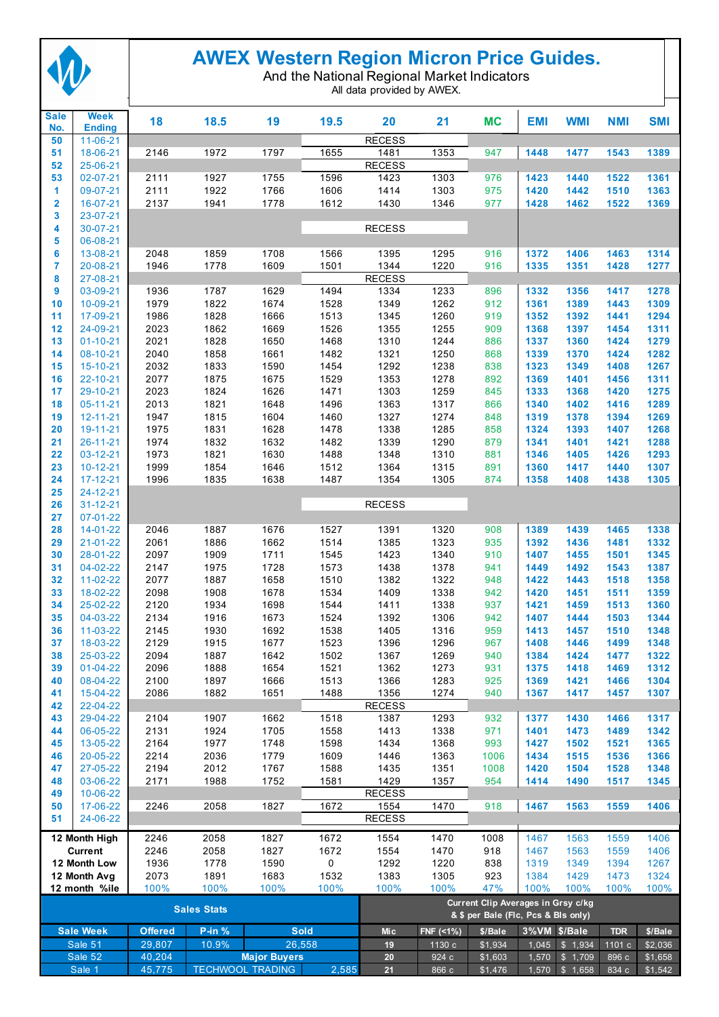

## **AWEX Western Region Micron Price Guides.**

And the National Regional Market Indicators

All data provided by AWEX.

| <b>Sale</b><br>No. | <b>Week</b><br><b>Ending</b> | 18               | 18.5         | 19                                             | 19.5         | 20                                                                        | 21             | <b>MC</b>          | <b>EMI</b>   | <b>WMI</b>                       | <b>NMI</b>     | <b>SMI</b>         |
|--------------------|------------------------------|------------------|--------------|------------------------------------------------|--------------|---------------------------------------------------------------------------|----------------|--------------------|--------------|----------------------------------|----------------|--------------------|
| 50                 | 11-06-21                     |                  |              |                                                |              | <b>RECESS</b>                                                             |                |                    |              |                                  |                |                    |
| 51                 | 18-06-21                     | 2146             | 1972         | 1797                                           | 1655         | 1481                                                                      | 1353           | 947                | 1448         | 1477                             | 1543           | 1389               |
| 52                 | 25-06-21                     |                  |              |                                                |              | <b>RECESS</b>                                                             |                |                    |              |                                  |                |                    |
| 53<br>1            | 02-07-21<br>09-07-21         | 2111<br>2111     | 1927<br>1922 | 1755<br>1766                                   | 1596<br>1606 | 1423<br>1414                                                              | 1303<br>1303   | 976<br>975         | 1423<br>1420 | 1440<br>1442                     | 1522<br>1510   | 1361<br>1363       |
| 2                  | 16-07-21                     | 2137             | 1941         | 1778                                           | 1612         | 1430                                                                      | 1346           | 977                | 1428         | 1462                             | 1522           | 1369               |
| 3                  | 23-07-21                     |                  |              |                                                |              |                                                                           |                |                    |              |                                  |                |                    |
| 4                  | 30-07-21                     |                  |              |                                                |              | <b>RECESS</b>                                                             |                |                    |              |                                  |                |                    |
| 5                  | 06-08-21                     |                  |              |                                                |              |                                                                           |                |                    |              |                                  |                |                    |
| 6                  | 13-08-21                     | 2048             | 1859         | 1708                                           | 1566         | 1395                                                                      | 1295           | 916                | 1372         | 1406                             | 1463           | 1314               |
| 7<br>8             | 20-08-21<br>27-08-21         | 1946             | 1778         | 1609                                           | 1501         | 1344<br><b>RECESS</b>                                                     | 1220           | 916                | 1335         | 1351                             | 1428           | 1277               |
| 9                  | 03-09-21                     | 1936             | 1787         | 1629                                           | 1494         | 1334                                                                      | 1233           | 896                | 1332         | 1356                             | 1417           | 1278               |
| 10                 | 10-09-21                     | 1979             | 1822         | 1674                                           | 1528         | 1349                                                                      | 1262           | 912                | 1361         | 1389                             | 1443           | 1309               |
| 11                 | 17-09-21                     | 1986             | 1828         | 1666                                           | 1513         | 1345                                                                      | 1260           | 919                | 1352         | 1392                             | 1441           | 1294               |
| 12                 | 24-09-21                     | 2023             | 1862         | 1669                                           | 1526         | 1355                                                                      | 1255           | 909                | 1368         | 1397                             | 1454           | 1311               |
| 13<br>14           | $01 - 10 - 21$<br>08-10-21   | 2021<br>2040     | 1828<br>1858 | 1650<br>1661                                   | 1468<br>1482 | 1310<br>1321                                                              | 1244<br>1250   | 886<br>868         | 1337<br>1339 | 1360<br>1370                     | 1424<br>1424   | 1279<br>1282       |
| 15                 | 15-10-21                     | 2032             | 1833         | 1590                                           | 1454         | 1292                                                                      | 1238           | 838                | 1323         | 1349                             | 1408           | 1267               |
| 16                 | 22-10-21                     | 2077             | 1875         | 1675                                           | 1529         | 1353                                                                      | 1278           | 892                | 1369         | 1401                             | 1456           | 1311               |
| 17                 | 29-10-21                     | 2023             | 1824         | 1626                                           | 1471         | 1303                                                                      | 1259           | 845                | 1333         | 1368                             | 1420           | 1275               |
| 18                 | $05 - 11 - 21$               | 2013             | 1821         | 1648                                           | 1496         | 1363                                                                      | 1317           | 866                | 1340         | 1402                             | 1416           | 1289               |
| 19                 | $12 - 11 - 21$               | 1947             | 1815         | 1604                                           | 1460         | 1327                                                                      | 1274           | 848                | 1319         | 1378                             | 1394           | 1269               |
| 20<br>21           | 19-11-21<br>$26 - 11 - 21$   | 1975<br>1974     | 1831<br>1832 | 1628<br>1632                                   | 1478<br>1482 | 1338<br>1339                                                              | 1285<br>1290   | 858<br>879         | 1324<br>1341 | 1393<br>1401                     | 1407<br>1421   | 1268<br>1288       |
| 22                 | 03-12-21                     | 1973             | 1821         | 1630                                           | 1488         | 1348                                                                      | 1310           | 881                | 1346         | 1405                             | 1426           | 1293               |
| 23                 | $10 - 12 - 21$               | 1999             | 1854         | 1646                                           | 1512         | 1364                                                                      | 1315           | 891                | 1360         | 1417                             | 1440           | 1307               |
| 24                 | 17-12-21                     | 1996             | 1835         | 1638                                           | 1487         | 1354                                                                      | 1305           | 874                | 1358         | 1408                             | 1438           | 1305               |
| 25                 | 24-12-21                     |                  |              |                                                |              |                                                                           |                |                    |              |                                  |                |                    |
| 26                 | $31 - 12 - 21$               |                  |              |                                                |              | <b>RECESS</b>                                                             |                |                    |              |                                  |                |                    |
| 27<br>28           | 07-01-22<br>$14 - 01 - 22$   | 2046             | 1887         | 1676                                           | 1527         | 1391                                                                      | 1320           | 908                | 1389         | 1439                             | 1465           | 1338               |
| 29                 | 21-01-22                     | 2061             | 1886         | 1662                                           | 1514         | 1385                                                                      | 1323           | 935                | 1392         | 1436                             | 1481           | 1332               |
| 30                 | 28-01-22                     | 2097             | 1909         | 1711                                           | 1545         | 1423                                                                      | 1340           | 910                | 1407         | 1455                             | 1501           | 1345               |
| 31                 | 04-02-22                     | 2147             | 1975         | 1728                                           | 1573         | 1438                                                                      | 1378           | 941                | 1449         | 1492                             | 1543           | 1387               |
| 32                 | 11-02-22                     | 2077             | 1887         | 1658                                           | 1510         | 1382                                                                      | 1322           | 948                | 1422         | 1443                             | 1518           | 1358               |
| 33<br>34           | 18-02-22<br>25-02-22         | 2098<br>2120     | 1908<br>1934 | 1678<br>1698                                   | 1534<br>1544 | 1409<br>1411                                                              | 1338<br>1338   | 942<br>937         | 1420<br>1421 | 1451<br>1459                     | 1511<br>1513   | 1359<br>1360       |
| 35                 | 04-03-22                     | 2134             | 1916         | 1673                                           | 1524         | 1392                                                                      | 1306           | 942                | 1407         | 1444                             | 1503           | 1344               |
| 36                 | 11-03-22                     | 2145             | 1930         | 1692                                           | 1538         | 1405                                                                      | 1316           | 959                | 1413         | 1457                             | 1510           | 1348               |
| 37                 | 18-03-22                     | 2129             | 1915         | 1677                                           | 1523         | 1396                                                                      | 1296           | 967                | 1408         | 1446                             | 1499           | 1348               |
| 38                 | 25-03-22                     | 2094             | 1887         | 1642                                           | 1502         | 1367                                                                      | 1269           | 940                | 1384         | 1424                             | 1477           | 1322               |
| 39<br>40           | $01 - 04 - 22$<br>08-04-22   | 2096<br>2100     | 1888<br>1897 | 1654<br>1666                                   | 1521<br>1513 | 1362<br>1366                                                              | 1273<br>1283   | 931<br>925         | 1375<br>1369 | 1418<br>1421                     | 1469<br>1466   | 1312<br>1304       |
| 41                 | 15-04-22                     | 2086             | 1882         | 1651                                           | 1488         | 1356                                                                      | 1274           | 940                | 1367         | 1417                             | 1457           | 1307               |
| 42                 | 22-04-22                     |                  |              |                                                |              | <b>RECESS</b>                                                             |                |                    |              |                                  |                |                    |
| 43                 | 29-04-22                     | 2104             | 1907         | 1662                                           | 1518         | 1387                                                                      | 1293           | 932                | 1377         | 1430                             | 1466           | 1317               |
| 44                 | 06-05-22                     | 2131             | 1924         | 1705                                           | 1558         | 1413                                                                      | 1338           | 971                | 1401         | 1473                             | 1489           | 1342               |
| 45                 | 13-05-22                     | 2164             | 1977         | 1748                                           | 1598         | 1434                                                                      | 1368           | 993                | 1427         | 1502                             | 1521           | 1365               |
| 46<br>47           | 20-05-22<br>27-05-22         | 2214<br>2194     | 2036<br>2012 | 1779<br>1767                                   | 1609<br>1588 | 1446<br>1435                                                              | 1363<br>1351   | 1006<br>1008       | 1434<br>1420 | 1515<br>1504                     | 1536<br>1528   | 1366<br>1348       |
| 48                 | 03-06-22                     | 2171             | 1988         | 1752                                           | 1581         | 1429                                                                      | 1357           | 954                | 1414         | 1490                             | 1517           | 1345               |
| 49                 | 10-06-22                     |                  |              |                                                |              | <b>RECESS</b>                                                             |                |                    |              |                                  |                |                    |
| 50                 | 17-06-22                     | 2246             | 2058         | 1827                                           | 1672         | 1554                                                                      | 1470           | 918                | 1467         | 1563                             | 1559           | 1406               |
| 51                 | 24-06-22                     |                  |              |                                                |              | <b>RECESS</b>                                                             |                |                    |              |                                  |                |                    |
|                    | 12 Month High                | 2246             | 2058         | 1827                                           | 1672         | 1554                                                                      | 1470           | 1008               | 1467         | 1563                             | 1559           | 1406               |
| <b>Current</b>     |                              | 2246             | 2058         | 1827                                           | 1672         | 1554                                                                      | 1470           | 918                | 1467         | 1563                             | 1559           | 1406               |
|                    | 12 Month Low                 | 1936             | 1778         | 1590                                           | 0            | 1292                                                                      | 1220           | 838                | 1319         | 1349                             | 1394           | 1267               |
|                    | 12 Month Avg                 | 2073<br>100%     | 1891<br>100% | 1683<br>100%                                   | 1532<br>100% | 1383<br>100%                                                              | 1305<br>100%   | 923<br>47%         | 1384<br>100% | 1429<br>100%                     | 1473<br>100%   | 1324<br>100%       |
| 12 month %ile      |                              |                  |              |                                                |              |                                                                           |                |                    |              |                                  |                |                    |
| <b>Sales Stats</b> |                              |                  |              |                                                |              | Current Clip Averages in Grsy c/kg<br>& \$ per Bale (Flc, Pcs & Bls only) |                |                    |              |                                  |                |                    |
| <b>Sale Week</b>   |                              | <b>Offered</b>   | $P-in %$     | <b>Sold</b>                                    |              | Mic                                                                       | FNF (<1%)      | \$/Bale            |              | 3%VM \$/Bale                     | <b>TDR</b>     | \$/Bale            |
|                    | Sale 51                      | 29,807           | 10.9%        | 26,558                                         |              | 19                                                                        | 1130 c         | \$1,934            | 1,045        | \$1,934                          | 1101 c         | \$2,036            |
|                    | Sale 52<br>Sale 1            | 40,204<br>45,775 |              | <b>Major Buyers</b><br><b>TECHWOOL TRADING</b> | 2,585        | 20<br>21                                                                  | 924 c<br>866 с | \$1,603<br>\$1,476 |              | 1,570 \$ 1,709<br>1,570 \$ 1,658 | 896 с<br>834 с | \$1,658<br>\$1,542 |
|                    |                              |                  |              |                                                |              |                                                                           |                |                    |              |                                  |                |                    |